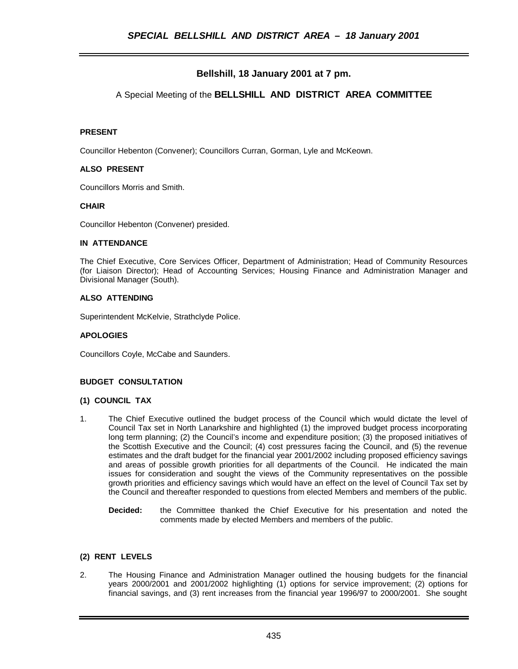# **Bellshill, 18 January 2001 at 7 pm.**

## A Special Meeting of the **BELLSHILL AND DISTRICT AREA COMMITTEE**

## **PRESENT**

Councillor Hebenton (Convener); Councillors Curran, Gorman, Lyle and McKeown.

#### **ALSO PRESENT**

Councillors Morris and Smith.

## **CHAIR**

Councillor Hebenton (Convener) presided.

#### **IN ATTENDANCE**

The Chief Executive, Core Services Officer, Department of Administration; Head of Community Resources (for Liaison Director); Head of Accounting Services; Housing Finance and Administration Manager and Divisional Manager (South).

#### **ALSO ATTENDING**

Superintendent McKelvie, Strathclyde Police.

#### **APOLOGIES**

Councillors Coyle, McCabe and Saunders.

## **BUDGET CONSULTATION**

#### **(1) COUNCIL TAX**

- 1. The Chief Executive outlined the budget process of the Council which would dictate the level of Council Tax set in North Lanarkshire and highlighted (1) the improved budget process incorporating long term planning; (2) the Council's income and expenditure position; (3) the proposed initiatives of the Scottish Executive and the Council; (4) cost pressures facing the Council, and (5) the revenue estimates and the draft budget for the financial year 2001/2002 including proposed efficiency savings and areas of possible growth priorities for all departments of the Council. He indicated the main issues for consideration and sought the views of the Community representatives on the possible growth priorities and efficiency savings which would have an effect on the level of Council Tax set by the Council and thereafter responded to questions from elected Members and members of the public.
	- **Decided:** the Committee thanked the Chief Executive for his presentation and noted the comments made by elected Members and members of the public.

## **(2) RENT LEVELS**

2. The Housing Finance and Administration Manager outlined the housing budgets for the financial years 2000/2001 and 2001/2002 highlighting (1) options for service improvement; (2) options for financial savings, and (3) rent increases from the financial year 1996/97 to 2000/2001. She sought